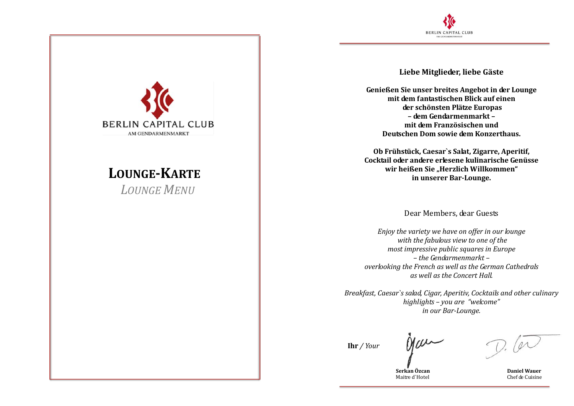

**Liebe Mitglieder, liebe Gäste**

**Genießen Sie unser breites Angebot in der Lounge mit dem fantastischen Blick auf einen der schönsten Plätze Europas – dem Gendarmenmarkt – mit dem Französischen und Deutschen Dom sowie dem Konzerthaus.**

**Ob Frühstück, Caesar`s Salat, Zigarre, Aperitif, Cocktail oder andere erlesene kulinarische Genüsse wir heißen Sie "Herzlich Willkommen" in unserer Bar-Lounge.**

Dear Members, dear Guests

*Enjoy the variety we have on offer in our lounge with the fabulous view to one of the most impressive public squares in Europe – the Gendarmenmarkt – overlooking the French as well as the German Cathedrals as well as the Concert Hall.*

*Breakfast, Caesar`s salad, Cigar, Aperitiv, Cocktails and other culinary highlights – you are "welcome" in our Bar-Lounge.*

**Ihr** */ Your*

Nau

 **Serkan Özcan Daniel Wauer** Maitre d'Hotel **Chef de Cuisine** 

**BERLIN CAPITAL CLUB** AM GENDARMENMARKT

## **LOUNGE-KARTE--**

*LOUNGE MENU-*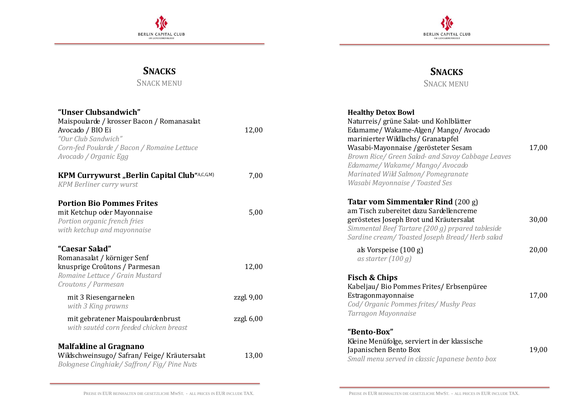



**SNACKS** SNACK MENU

## **SNACKS**

SNACK MENU

| "Unser Clubsandwich"                                                                                                           |            | <b>Healthy Detox Bowl</b>                                                                                                                                                                                                     |       |
|--------------------------------------------------------------------------------------------------------------------------------|------------|-------------------------------------------------------------------------------------------------------------------------------------------------------------------------------------------------------------------------------|-------|
| Maispoularde / krosser Bacon / Romanasalat<br>Avocado / BIO Ei<br>"Our Club Sandwich"                                          | 12,00      | Naturreis/ grüne Salat- und Kohlblätter<br>Edamame/Wakame-Algen/Mango/Avocado<br>marinierter Wildlachs/ Granatapfel                                                                                                           |       |
| Corn-fed Poularde / Bacon / Romaine Lettuce<br>Avocado / Organic Egg                                                           |            | Wasabi-Mayonnaise /gerösteter Sesam<br>Brown Rice/ Green Salad- and Savoy Cabbage Leaves<br>Edamame/Wakame/Mango/Avocado                                                                                                      | 17,00 |
| <b>KPM Currywurst "Berlin Capital Club"A,C,G,M)</b><br><b>KPM Berliner curry wurst</b>                                         | 7,00       | Marinated Wild Salmon/Pomegranate<br>Wasabi Mayonnaise / Toasted Ses                                                                                                                                                          |       |
| <b>Portion Bio Pommes Frites</b><br>mit Ketchup oder Mayonnaise<br>Portion organic french fries<br>with ketchup and mayonnaise | 5,00       | Tatar vom Simmentaler Rind (200 g)<br>am Tisch zubereitet dazu Sardellencreme<br>geröstetes Joseph Brot und Kräutersalat<br>Simmental Beef Tartare (200 g) prpared tableside<br>Sardine cream/Toasted Joseph Bread/Herb salad | 30,00 |
| "Caesar Salad"<br>Romanasalat / körniger Senf<br>knusprige Croûtons / Parmesan                                                 | 12,00      | als Vorspeise (100 g)<br>as starter $(100 g)$                                                                                                                                                                                 | 20,00 |
| Romaine Lettuce / Grain Mustard<br>Croutons / Parmesan                                                                         |            | Fisch & Chips<br>Kabeljau/Bio Pommes Frites/Erbsenpüree                                                                                                                                                                       |       |
| mit 3 Riesengarnelen<br>with 3 King prawns                                                                                     | zzgl. 9,00 | Estragonmayonnaise<br>Cod/ Organic Pommes frites/ Mushy Peas<br>Tarragon Mayonnaise                                                                                                                                           | 17,00 |
| mit gebratener Maispoulardenbrust<br>with sautéd corn feeded chicken breast                                                    | zzgl. 6,00 | "Bento-Box"                                                                                                                                                                                                                   |       |
| Malfaldine al Gragnano<br>Wildschweinsugo/Safran/Feige/Kräutersalat<br>Bolognese Cinghiale/Saffron/Fig/Pine Nuts               | 13,00      | Kleine Menüfolge, serviert in der klassische<br>Japanischen Bento Box<br>Small menu served in classic Japanese bento box                                                                                                      | 19,00 |
|                                                                                                                                |            |                                                                                                                                                                                                                               |       |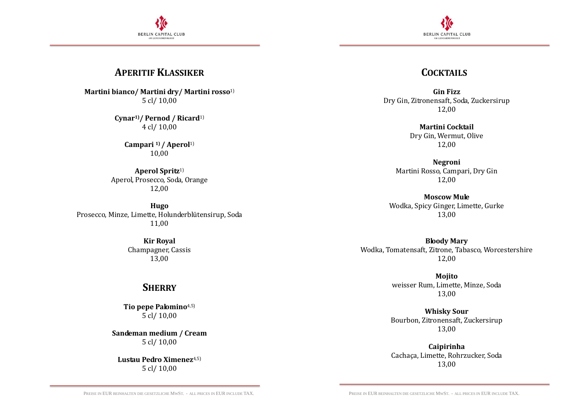



#### **APERITIF KLASSIKER**

**Martini bianco/ Martini dry/ Martini rosso**1) 5 cl/ 10,00

> **Cynar1)/ Pernod / Ricard**1) 4 cl/ 10,00

> > **Campari 1) / Aperol**1) 10,00

**Aperol Spritz**1) Aperol, Prosecco, Soda, Orange 12,00

**Hugo** Prosecco, Minze, Limette, Holunderblütensirup, Soda 11,00

> **Kir Royal** Champagner, Cassis 13,00

#### **SHERRY**

**Tio pepe Palomino**4,5) 5 cl/ 10,00

**Sandeman medium / Cream** 5 cl/ 10,00

**Lustau Pedro Ximenez**4,5) 5 cl/ 10,00

#### **COCKTAILS**

**Gin Fizz** Dry Gin, Zitronensaft, Soda, Zuckersirup 12,00

> **Martini Cocktail** Dry Gin, Wermut, Olive 12,00

**Negroni** Martini Rosso, Campari, Dry Gin 12,00

**Moscow Mule** Wodka, Spicy Ginger, Limette, Gurke 13,00

**Bloody Mary** Wodka, Tomatensaft, Zitrone, Tabasco, Worcestershire 12,00

> **Mojito** weisser Rum, Limette, Minze, Soda 13,00

**Whisky Sour** Bourbon, Zitronensaft, Zuckersirup 13,00

**Caipirinha** Cachaça, Limette, Rohrzucker, Soda 13,00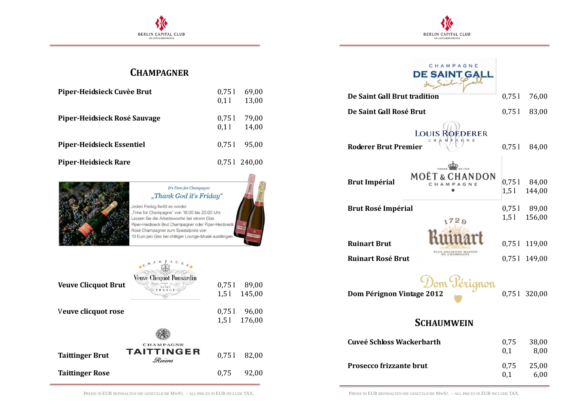



## **CHAMPAGNER**

| Piper-Heidsieck Cuvèe Brut       | 0.751<br>0.11 | 69,00<br>13,00 |
|----------------------------------|---------------|----------------|
| Piper-Heidsieck Rosé Sauvage     | 0.751<br>0.11 | 79,00<br>14,00 |
| <b>Piper-Heidsieck Essentiel</b> |               | $0.751$ 95,00  |
| <b>Piper-Heidsieck Rare</b>      |               | 0,751 240,00   |



#### It's Time for Champagne "Thank God it's Friday"

Jeden Freitag heißt es wieder "Time for Champagne" von 18.00 bis 20.00 Uhr. Lassen Sie die Arbeitswoche bei einem Glas Piper-Heidsieck Brut Champagner oder Piper-Heidsieck Rosé Champagner zum Spezialpreis von 10 Euro pro Glas bei chilliger Lounge-Musik ausklingen

| <b>Veuve Clicquot Brut</b>                                                                 | CHAM<br><b>Veuve Cliequot Ponsardin</b><br>REIMS<br>FRANCE | 0,751<br>1,51 | 89,00<br>145,00       |
|--------------------------------------------------------------------------------------------|------------------------------------------------------------|---------------|-----------------------|
| Veuve clicquot rose                                                                        |                                                            | 0,751         | 96,00<br>1,5 1 176,00 |
| <b>CHAMPAGNE</b><br><b>TAITTINGER</b><br>0,751<br><b>Taittinger Brut</b><br>82,00<br>Reims |                                                            |               |                       |
| <b>Taittinger Rose</b>                                                                     |                                                            | 0.75          | 92,00                 |

# CHAMPAGNE DE SAINT GALL

| De Saint Gall Brut tradition                                              |             | 76,00                   |  |
|---------------------------------------------------------------------------|-------------|-------------------------|--|
| De Saint Gall Rosé Brut                                                   | 0,751       | 83,00                   |  |
| <b>LOUIS ROEDERER</b><br>СНА МР<br>-d<br>N<br><b>Roderer Brut Premier</b> | 0,751       | 84,00                   |  |
| <b>MOËT &amp; CHANDON</b><br><b>Brut Impérial</b><br>CHAMPAGNE            | $1,5$ l     | 0,751 84,00<br>144,00   |  |
| <b>Brut Rosé Impérial</b><br>729                                          | 1,51        | 0,751 89,00<br>156,00   |  |
| <b>Ruinart Brut</b><br><b>BLAMPAG</b><br><b>Ruinart Rosé Brut</b>         | 0,751       | 119,00<br>0,75 1 149,00 |  |
| Dom Pérignon<br>Dom Pérignon Vintage 2012                                 |             | 0,751 320,00            |  |
| <b>SCHAUMWEIN</b>                                                         |             |                         |  |
| Cuveé Schloss Wackerbarth                                                 | 0,75<br>0,1 | 38,00<br>8,00           |  |

PREISE IN EUR BEINHALTEN DIE GESETZLICHE MWST. - ALL PRICES IN EUR INCLUDE TAX. PREISE IN EUR BEINHALTEN DIE GESETZLICHE MWST. - ALL PRICES IN EUR INCLUDE TAX.

**Prosecco** frizzante brut 0,75 25,00

0,1 6,00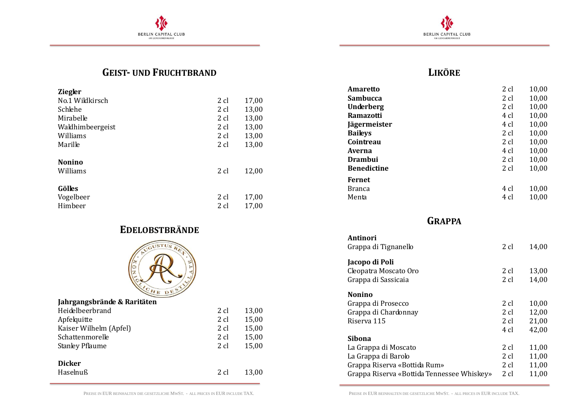



## **GEIST- UND FRUCHTBRAND**

| <b>Ziegler</b>   |      |       |
|------------------|------|-------|
| No.1 Wildkirsch  | 2 cl | 17,00 |
| Schlehe          | 2 cl | 13,00 |
| Mirabelle        | 2 cl | 13,00 |
| Waldhimbeergeist | 2 cl | 13,00 |
| Williams         | 2 cl | 13,00 |
| Marille          | 2 cl | 13,00 |
|                  |      |       |
| <b>Nonino</b>    |      |       |
| Williams         | 2 cl | 12,00 |
|                  |      |       |
| Gölles           |      |       |
| Vogelbeer        | 2 cl | 17,00 |
| Himbeer          | 2 cl | 17,00 |

## **EDELOBSTBRÄNDE**



| Jahrgangsbrände & Raritäten |        |       |
|-----------------------------|--------|-------|
| Heidelbeerbrand             | $2$ cl | 13,00 |
| Apfelquitte                 | $2$ cl | 15,00 |
| Kaiser Wilhelm (Apfel)      | 2 cl   | 15,00 |
| Schattenmorelle             | $2$ cl | 15,00 |
| <b>Stanley Pflaume</b>      | $2$ cl | 15,00 |
|                             |        |       |
| <b>Dicker</b>               |        |       |
| Haselnuß                    | 2 cl   | 13,00 |

## **LIKÖRE**

| Amaretto           | 2 cl | 10,00 |
|--------------------|------|-------|
| Sambucca           | 2 cl | 10,00 |
| <b>Underberg</b>   | 2 cl | 10,00 |
| Ramazotti          | 4 cl | 10,00 |
| Jägermeister       | 4 cl | 10,00 |
| <b>Baileys</b>     | 2 cl | 10,00 |
| Cointreau          | 2 cl | 10,00 |
| Averna             | 4 cl | 10,00 |
| Drambui            | 2 cl | 10,00 |
| <b>Benedictine</b> | 2 cl | 10,00 |
| Fernet             |      |       |
| <b>Branca</b>      | 4 cl | 10,00 |
| Menta              | 4 cl | 10,00 |

**GRAPPA**

| Antinori                                   |      |       |
|--------------------------------------------|------|-------|
| Grappa di Tignanello                       | 2 cl | 14,00 |
| Jacopo di Poli                             |      |       |
| Cleopatra Moscato Oro                      | 2 cl | 13,00 |
| Grappa di Sassicaia                        | 2 cl | 14,00 |
| Nonino                                     |      |       |
| Grappa di Prosecco                         | 2 cl | 10,00 |
| Grappa di Chardonnay                       | 2 cl | 12,00 |
| Riserva 115                                | 2 cl | 21,00 |
|                                            | 4 cl | 42,00 |
| Sibona                                     |      |       |
| La Grappa di Moscato                       | 2 cl | 11,00 |
| La Grappa di Barolo                        | 2 cl | 11,00 |
| Grappa Riserva «Bottida Rum»               | 2 cl | 11,00 |
| Grappa Riserva «Bottida Tennessee Whiskey» | 2 cl | 11,00 |
|                                            |      |       |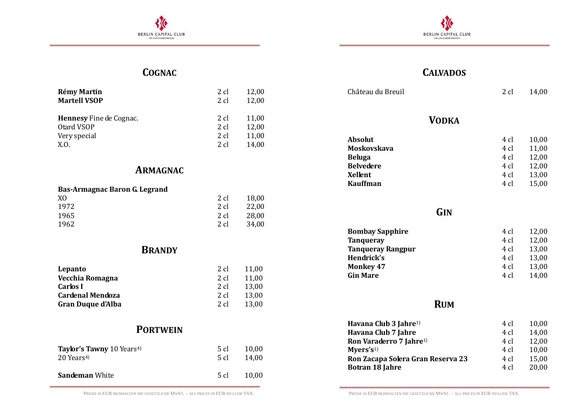



## **COGNAC**

| <b>Rémy Martin</b>             | 2 cl | 12,00 |
|--------------------------------|------|-------|
| <b>Martell VSOP</b>            | 2 cl | 12,00 |
| <b>Hennesy</b> Fine de Cognac. | 2 cl | 11,00 |
| Otard VSOP                     | 2 cl | 12,00 |
| Very special                   | 2 cl | 11,00 |
| X.O.                           | 2 cl | 14,00 |

#### **ARMAGNAC**

#### **Bas-Armagnac Baron G. Legrand**

| X <sub>0</sub> | 2 cl | 18,00 |
|----------------|------|-------|
| 1972           | 2 cl | 22,00 |
| 1965           | 2 cl | 28,00 |
| 1962           | 2 cl | 34,00 |

### **BRANDY**

| Lepanto                  | 2 cl   | 11,00 |
|--------------------------|--------|-------|
| Vecchia Romagna          | 2 cl   | 11,00 |
| Carlos I                 | 2 cl   | 13.00 |
| <b>Cardenal Mendoza</b>  | 2 cl   | 13.00 |
| <b>Gran Duque d'Alba</b> | $2$ cl | 13.00 |

## **PORTWEIN**

| Taylor's Tawny 10 Years <sup>4)</sup> | 5 cl | 10,00 |
|---------------------------------------|------|-------|
| 20 Years <sup>4</sup>                 | 5 cl | 14,00 |
| <b>Sandeman White</b>                 | 5 cl | 10.00 |

## **CALVADOS**

| Château du Breuil                                                                                                                                            | 2 cl                                         | 14,00                                              |
|--------------------------------------------------------------------------------------------------------------------------------------------------------------|----------------------------------------------|----------------------------------------------------|
| <b>VODKA</b>                                                                                                                                                 |                                              |                                                    |
| <b>Absolut</b><br><b>Moskovskava</b><br><b>Beluga</b><br><b>Belvedere</b><br><b>Xellent</b><br><b>Kauffman</b>                                               | 4 cl<br>4 cl<br>4 cl<br>4 cl<br>4 cl<br>4 cl | 10,00<br>11,00<br>12,00<br>12,00<br>13,00<br>15,00 |
| GIN                                                                                                                                                          |                                              |                                                    |
| <b>Bombay Sapphire</b><br><b>Tanqueray</b><br><b>Tanqueray Rangpur</b><br>Hendrick's<br><b>Monkey 47</b><br><b>Gin Mare</b>                                  | 4 cl<br>4 cl<br>4 cl<br>4 cl<br>4 cl<br>4 cl | 12,00<br>12,00<br>13,00<br>13,00<br>13,00<br>14,00 |
| <b>RUM</b>                                                                                                                                                   |                                              |                                                    |
| Havana Club 3 Jahre <sup>1)</sup><br>Havana Club 7 Jahre<br>Ron Varaderro 7 Jahre <sup>1)</sup><br>Myers's <sup>1</sup><br>Ron Zacapa Solera Gran Reserva 23 | 4 cl<br>4 cl<br>4 cl<br>4 cl<br>4 cl         | 10,00<br>14,00<br>12,00<br>10,00<br>15,00          |

**Botran 18 Jahre** 4 cl 20,00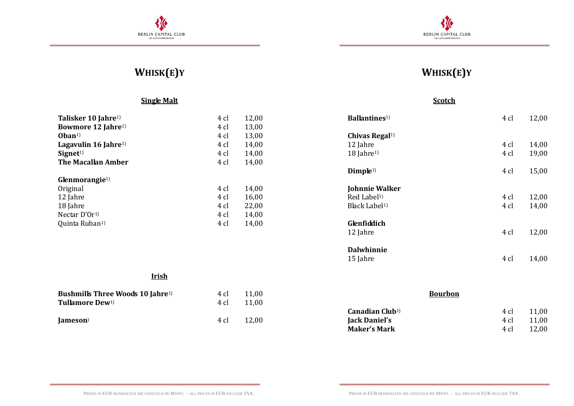



## **WHISK(E)Y**

#### **Single Malt**

| Talisker 10 Jahre <sup>1)</sup><br>Bowmore 12 Jahre <sup>1)</sup><br>$Oban1$<br>Lagavulin 16 Jahre <sup>1)</sup><br>Signet <sup>1</sup> | 4 cl<br>4 cl<br>4 cl<br>4 cl<br>4 cl | 12,00<br>13,00<br>13,00<br>14,00<br>14,00 |
|-----------------------------------------------------------------------------------------------------------------------------------------|--------------------------------------|-------------------------------------------|
| The Macallan Amber                                                                                                                      | 4 cl                                 | 14,00                                     |
| $G$ lenmorangie <sup>1)</sup>                                                                                                           |                                      |                                           |
| Original                                                                                                                                | 4 cl                                 | 14,00                                     |
| 12 Jahre                                                                                                                                | 4 cl                                 | 16,00                                     |
| 18 Jahre                                                                                                                                | 4 cl                                 | 22,00                                     |
| Nectar $D'Or1$                                                                                                                          | 4 cl                                 | 14,00                                     |
| Quinta Ruban <sup>1)</sup>                                                                                                              | 4 cl                                 | 14,00                                     |

#### **Irish**

| <b>Bushmills Three Woods 10 Jahre</b> <sup>1)</sup> | 4 cl | 11,00 |
|-----------------------------------------------------|------|-------|
| <b>Tullamore Dew</b> <sup>1)</sup>                  | 4 cl | 11,00 |
| Jameson                                             | 4 cl | 12,00 |

## **WHISK(E)Y**

#### **Scotch**

| <b>Ballantines</b> <sup>1)</sup> | 4 cl | 12,00 |
|----------------------------------|------|-------|
| Chivas Regal <sup>1)</sup>       |      |       |
| 12 Jahre                         | 4 cl | 14,00 |
| $18$ Jahre <sup>1)</sup>         | 4 cl | 19,00 |
| Dimple <sup>1)</sup>             | 4 cl | 15,00 |
| Johnnie Walker                   |      |       |
| Red Label <sup>1)</sup>          | 4 cl | 12,00 |
| Black Label <sup>1)</sup>        | 4 cl | 14,00 |
| Glenfiddich                      |      |       |
| 12 Jahre                         | 4 cl | 12,00 |
| <b>Dalwhinnie</b>                |      |       |
| 15 Jahre                         | 4 cl | 14,00 |

| <b>Bourbon</b> |       |  |
|----------------|-------|--|
| 4 cl           | 11.00 |  |
| 4 cl           | 11.00 |  |
| 4 $cl$         | 12.00 |  |
|                |       |  |

PREISE IN EUR BEINHALTEN DIE GESETZLICHE MWST. - ALL PRICES IN EUR INCLUDE TAX. PREISE IN EUR BEINHALTEN DIE GESETZLICHE MWST. - ALL PRICES IN EUR INCLUDE TAX.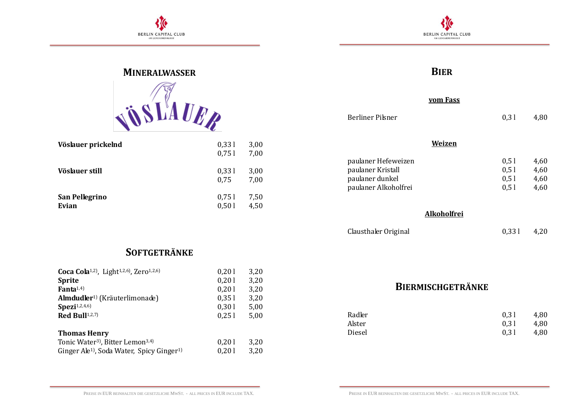



# **MINERALWASSER SLAUER**

| Vöslauer prickelnd      | 0,331<br>0.751 | 3,00<br>7,00 |
|-------------------------|----------------|--------------|
| Vöslauer still          | 0,331<br>0,75  | 3,00<br>7,00 |
| San Pellegrino<br>Evian | 0,751<br>0,501 | 7,50<br>4,50 |

## **BIER**

#### **vom Fass**

| <b>Berliner Pilsner</b>                                                             | 0.31                         | 4,80                         |
|-------------------------------------------------------------------------------------|------------------------------|------------------------------|
|                                                                                     | Weizen                       |                              |
| paulaner Hefeweizen<br>paulaner Kristall<br>paulaner dunkel<br>paulaner Alkoholfrei | 0.51<br>0.51<br>0.51<br>0.51 | 4,60<br>4,60<br>4,60<br>4,60 |

**Alkoholfrei**

Clausthaler Original 0,33 l 4,20

## **SOFTGETRÄNKE**

| Coca Cola <sup>1,2)</sup> , Light <sup>1,2,6</sup> ), Zero <sup>1,2,6</sup> ) | 0,201 | 3,20 |
|-------------------------------------------------------------------------------|-------|------|
| <b>Sprite</b>                                                                 | 0,201 | 3,20 |
| Fanta $1,4$ )                                                                 | 0,201 | 3,20 |
| Almdudler <sup>1)</sup> (Kräuterlimonade)                                     | 0,351 | 3,20 |
| $\text{Spezi}^{1,2,4,6}$                                                      | 0,301 | 5,00 |
| Red Bull <sup>1,2,7)</sup>                                                    | 0.251 | 5,00 |
|                                                                               |       |      |
| <b>Thomas Henry</b>                                                           |       |      |
| Tonic Water <sup>3</sup> ), Bitter Lemon <sup>3,4)</sup>                      | 0,201 | 3,20 |
| Ginger Ale <sup>1</sup> ), Soda Water, Spicy Ginger <sup>1)</sup>             | 0,201 | 3,20 |

## **BIERMISCHGETRÄNKE**

| Radler | 0.31 | 4.80 |
|--------|------|------|
| Alster | 0.31 | 4.80 |
| Diesel | 0.31 | 4,80 |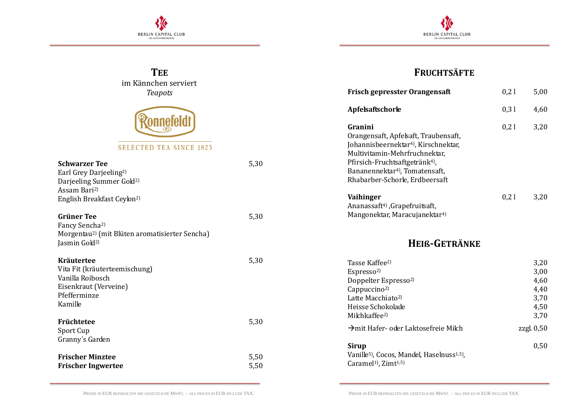



| <b>TEE</b>                                                                                                                                  |              | <b>FRUCHTSÄFTE</b>                                                                                                                                                                                                                                                 |      |                                                      |
|---------------------------------------------------------------------------------------------------------------------------------------------|--------------|--------------------------------------------------------------------------------------------------------------------------------------------------------------------------------------------------------------------------------------------------------------------|------|------------------------------------------------------|
| im Kännchen serviert<br><b>Teapots</b>                                                                                                      |              | Frisch gepresster Orangensaft                                                                                                                                                                                                                                      | 0,21 | 5,00                                                 |
|                                                                                                                                             |              | Apfelsaftschorle                                                                                                                                                                                                                                                   | 0,31 | 4,60                                                 |
| <b>SELECTED TEA SINCE 1823</b><br><b>Schwarzer Tee</b><br>Earl Grey Darjeeling <sup>2)</sup><br>Darjeeling Summer Gold <sup>2)</sup>        | 5,30         | Granini<br>Orangensaft, Apfelsaft, Traubensaft,<br>Johannisbeernektar <sup>4)</sup> , Kirschnektar,<br>Multivitamin-Mehrfruchnektar,<br>Pfirsich-Fruchtsaftgetränk <sup>4)</sup> ,<br>Bananennektar <sup>4</sup> ), Tomatensaft,<br>Rhabarber-Schorle, Erdbeersaft | 0,21 | 3,20                                                 |
| Assam Bari <sup>2</sup> )<br>English Breakfast Ceylon <sup>2)</sup>                                                                         |              | Vaihinger<br>Ananassaft <sup>4</sup> ), Grapefruitsaft,                                                                                                                                                                                                            | 0,21 | 3,20                                                 |
| <b>Grüner Tee</b><br>Fancy Sencha <sup>2)</sup><br>Morgentau <sup>2</sup> ) (mit Blüten aromatisierter Sencha)<br>Jasmin Gold <sup>2)</sup> | 5,30         | Mangonektar, Maracujanektar <sup>4)</sup><br>HEIß-GETRÄNKE                                                                                                                                                                                                         |      |                                                      |
| <b>Kräutertee</b><br>Vita Fit (kräuterteemischung)<br>Vanilla Roibosch<br>Eisenkraut (Verveine)<br>Pfefferminze<br>Kamille                  | 5,30         | Tasse Kaffee <sup>2)</sup><br>Espresso <sup>2)</sup><br>Doppelter Espresso <sup>2)</sup><br>Cappuccino <sup>2)</sup><br>Latte Macchiato <sup>2)</sup><br>Heisse Schokolade<br>Milchkaffee <sup>2)</sup>                                                            |      | 3,20<br>3,00<br>4,60<br>4,40<br>3,70<br>4,50<br>3,70 |
| Früchtetee<br>Sport Cup                                                                                                                     | 5,30         | → mit Hafer- oder Laktosefreie Milch                                                                                                                                                                                                                               |      | zzgl. $0,50$                                         |
| Granny's Garden<br><b>Frischer Minztee</b><br><b>Frischer Ingwertee</b>                                                                     | 5,50<br>5,50 | <b>Sirup</b><br>Vanille <sup>5)</sup> , Cocos, Mandel, Haselnuss <sup>1,5)</sup> ,<br>Caramel <sup>1</sup> ), Zimt <sup>1,5)</sup>                                                                                                                                 |      | 0,50                                                 |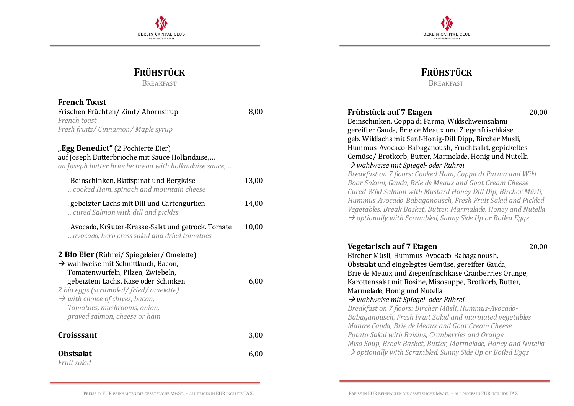



**FRÜHSTÜCK** BREAKFAST

## **FRÜHSTÜCK**

BREAKFAST

| <b>French Toast</b>                                                                                                                                                                                                                                                                                                               |       |                                                                                                                                                                                                                                                                                                                                                                                                                                                                                                                                |
|-----------------------------------------------------------------------------------------------------------------------------------------------------------------------------------------------------------------------------------------------------------------------------------------------------------------------------------|-------|--------------------------------------------------------------------------------------------------------------------------------------------------------------------------------------------------------------------------------------------------------------------------------------------------------------------------------------------------------------------------------------------------------------------------------------------------------------------------------------------------------------------------------|
| Frischen Früchten/Zimt/Ahornsirup                                                                                                                                                                                                                                                                                                 | 8,00  | Frühstück auf 7 Etagen<br>20,00                                                                                                                                                                                                                                                                                                                                                                                                                                                                                                |
| French toast                                                                                                                                                                                                                                                                                                                      |       | Beinschinken, Coppa di Parma, Wildschweinsalami                                                                                                                                                                                                                                                                                                                                                                                                                                                                                |
| Fresh fruits/ Cinnamon/ Maple syrup                                                                                                                                                                                                                                                                                               |       | gereifter Gauda, Brie de Meaux und Ziegenfrischkäse                                                                                                                                                                                                                                                                                                                                                                                                                                                                            |
| "Egg Benedict" (2 Pochierte Eier)<br>auf Joseph Butterbrioche mit Sauce Hollandaise,<br>on Joseph butter brioche bread with hollandaise sauce,                                                                                                                                                                                    |       | geb. Wildlachs mit Senf-Honig-Dill Dipp, Bircher Müsli,<br>Hummus-Avocado-Babaganoush, Fruchtsalat, gepickeltes<br>Gemüse/ Brotkorb, Butter, Marmelade, Honig und Nutella<br>$\rightarrow$ wahlweise mit Spiegel- oder Rührei                                                                                                                                                                                                                                                                                                  |
| "Beinschinken, Blattspinat und Bergkäse<br>cooked Ham, spinach and mountain cheese                                                                                                                                                                                                                                                | 13,00 | Breakfast on 7 floors: Cooked Ham, Coppa di Parma and Wild<br>Boar Salami, Gauda, Brie de Meaux and Goat Cream Cheese<br>Cured Wild Salmon with Mustard Honey Dill Dip, Bircher Müsli,                                                                                                                                                                                                                                                                                                                                         |
| "gebeizter Lachs mit Dill und Gartengurken<br>cured Salmon with dill and pickles                                                                                                                                                                                                                                                  | 14,00 | Hummus-Avocado-Babaganousch, Fresh Fruit Salad and Pickled<br>Vegetables, Break Basket, Butter, Marmalade, Honey and Nutella<br>$\rightarrow$ optionally with Scrambled, Sunny Side Up or Boiled Eggs                                                                                                                                                                                                                                                                                                                          |
| "Avocado, Kräuter-Kresse-Salat und getrock. Tomate<br>avocado, herb cress salad and dried tomatoes                                                                                                                                                                                                                                | 10,00 |                                                                                                                                                                                                                                                                                                                                                                                                                                                                                                                                |
| 2 Bio Eier (Rührei/ Spiegeleier/ Omelette)<br>$\rightarrow$ wahlweise mit Schnittlauch, Bacon,<br>Tomatenwürfeln, Pilzen, Zwiebeln,<br>gebeiztem Lachs, Käse oder Schinken<br>2 bio eggs (scrambled/fried/omelette)<br>$\rightarrow$ with choice of chives, bacon,<br>Tomatoes, mushrooms, onion,<br>graved salmon, cheese or ham | 6,00  | <b>Vegetarisch auf 7 Etagen</b><br>20,00<br>Bircher Müsli, Hummus-Avocado-Babaganoush,<br>Obstsalat und eingelegtes Gemüse, gereifter Gauda,<br>Brie de Meaux und Ziegenfrischkäse Cranberries Orange,<br>Karottensalat mit Rosine, Misosuppe, Brotkorb, Butter,<br>Marmelade, Honig und Nutella<br>$\rightarrow$ wahlweise mit Spiegel- oder Rührei<br>Breakfast on 7 floors: Bircher Müsli, Hummus-Avocado-<br>Babaganousch, Fresh Fruit Salad and marinated vegetables<br>Mature Gauda, Brie de Meaux and Goat Cream Cheese |
| Croisssant                                                                                                                                                                                                                                                                                                                        | 3,00  | Potato Salad with Raisins, Cranberries and Orange<br>Miso Soup, Break Basket, Butter, Marmalade, Honey and Nutella                                                                                                                                                                                                                                                                                                                                                                                                             |
| <b>Obstsalat</b>                                                                                                                                                                                                                                                                                                                  | 6,00  | $\rightarrow$ optionally with Scrambled, Sunny Side Up or Boiled Eggs                                                                                                                                                                                                                                                                                                                                                                                                                                                          |
| Fruit salad                                                                                                                                                                                                                                                                                                                       |       |                                                                                                                                                                                                                                                                                                                                                                                                                                                                                                                                |